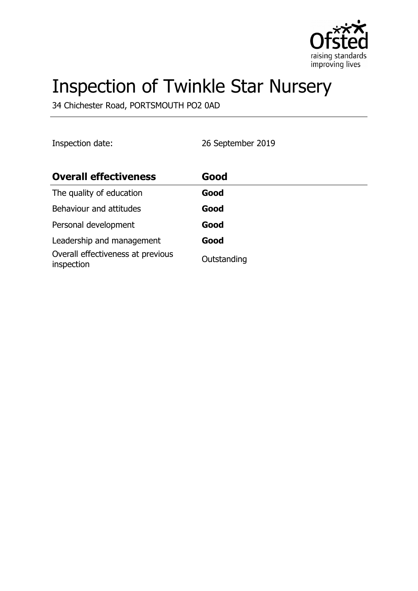

# Inspection of Twinkle Star Nursery

34 Chichester Road, PORTSMOUTH PO2 0AD

Inspection date: 26 September 2019

| <b>Overall effectiveness</b>                    | Good        |
|-------------------------------------------------|-------------|
| The quality of education                        | Good        |
| Behaviour and attitudes                         | Good        |
| Personal development                            | Good        |
| Leadership and management                       | Good        |
| Overall effectiveness at previous<br>inspection | Outstanding |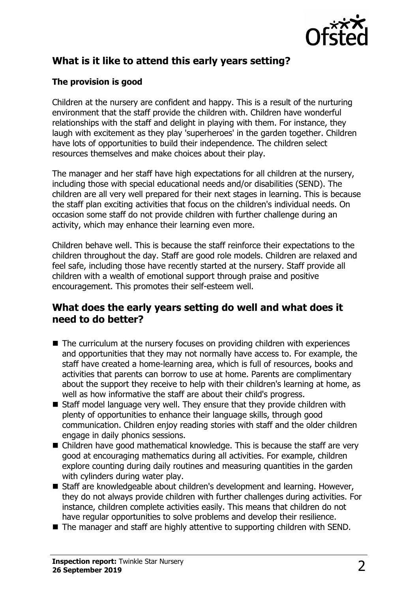

# **What is it like to attend this early years setting?**

#### **The provision is good**

Children at the nursery are confident and happy. This is a result of the nurturing environment that the staff provide the children with. Children have wonderful relationships with the staff and delight in playing with them. For instance, they laugh with excitement as they play 'superheroes' in the garden together. Children have lots of opportunities to build their independence. The children select resources themselves and make choices about their play.

The manager and her staff have high expectations for all children at the nursery, including those with special educational needs and/or disabilities (SEND). The children are all very well prepared for their next stages in learning. This is because the staff plan exciting activities that focus on the children's individual needs. On occasion some staff do not provide children with further challenge during an activity, which may enhance their learning even more.

Children behave well. This is because the staff reinforce their expectations to the children throughout the day. Staff are good role models. Children are relaxed and feel safe, including those have recently started at the nursery. Staff provide all children with a wealth of emotional support through praise and positive encouragement. This promotes their self-esteem well.

#### **What does the early years setting do well and what does it need to do better?**

- $\blacksquare$  The curriculum at the nursery focuses on providing children with experiences and opportunities that they may not normally have access to. For example, the staff have created a home-learning area, which is full of resources, books and activities that parents can borrow to use at home. Parents are complimentary about the support they receive to help with their children's learning at home, as well as how informative the staff are about their child's progress.
- $\blacksquare$  Staff model language very well. They ensure that they provide children with plenty of opportunities to enhance their language skills, through good communication. Children enjoy reading stories with staff and the older children engage in daily phonics sessions.
- $\blacksquare$  Children have good mathematical knowledge. This is because the staff are very good at encouraging mathematics during all activities. For example, children explore counting during daily routines and measuring quantities in the garden with cylinders during water play.
- Staff are knowledgeable about children's development and learning. However, they do not always provide children with further challenges during activities. For instance, children complete activities easily. This means that children do not have regular opportunities to solve problems and develop their resilience.
- $\blacksquare$  The manager and staff are highly attentive to supporting children with SEND.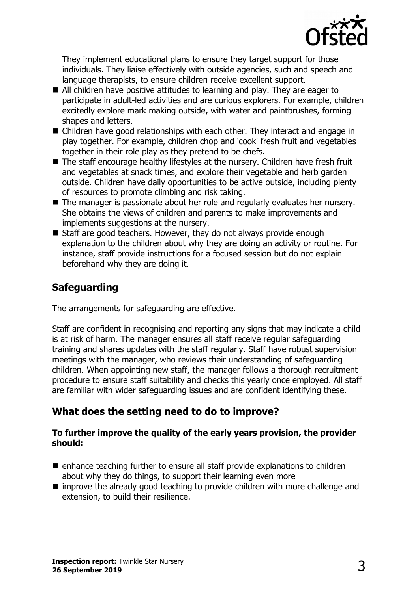

They implement educational plans to ensure they target support for those individuals. They liaise effectively with outside agencies, such and speech and language therapists, to ensure children receive excellent support.

- $\blacksquare$  All children have positive attitudes to learning and play. They are eager to participate in adult-led activities and are curious explorers. For example, children excitedly explore mark making outside, with water and paintbrushes, forming shapes and letters.
- $\blacksquare$  Children have good relationships with each other. They interact and engage in play together. For example, children chop and 'cook' fresh fruit and vegetables together in their role play as they pretend to be chefs.
- The staff encourage healthy lifestyles at the nursery. Children have fresh fruit and vegetables at snack times, and explore their vegetable and herb garden outside. Children have daily opportunities to be active outside, including plenty of resources to promote climbing and risk taking.
- $\blacksquare$  The manager is passionate about her role and regularly evaluates her nursery. She obtains the views of children and parents to make improvements and implements suggestions at the nursery.
- $\blacksquare$  Staff are good teachers. However, they do not always provide enough explanation to the children about why they are doing an activity or routine. For instance, staff provide instructions for a focused session but do not explain beforehand why they are doing it.

## **Safeguarding**

The arrangements for safeguarding are effective.

Staff are confident in recognising and reporting any signs that may indicate a child is at risk of harm. The manager ensures all staff receive regular safeguarding training and shares updates with the staff regularly. Staff have robust supervision meetings with the manager, who reviews their understanding of safeguarding children. When appointing new staff, the manager follows a thorough recruitment procedure to ensure staff suitability and checks this yearly once employed. All staff are familiar with wider safeguarding issues and are confident identifying these.

## **What does the setting need to do to improve?**

#### **To further improve the quality of the early years provision, the provider should:**

- $\blacksquare$  enhance teaching further to ensure all staff provide explanations to children about why they do things, to support their learning even more
- $\blacksquare$  improve the already good teaching to provide children with more challenge and extension, to build their resilience.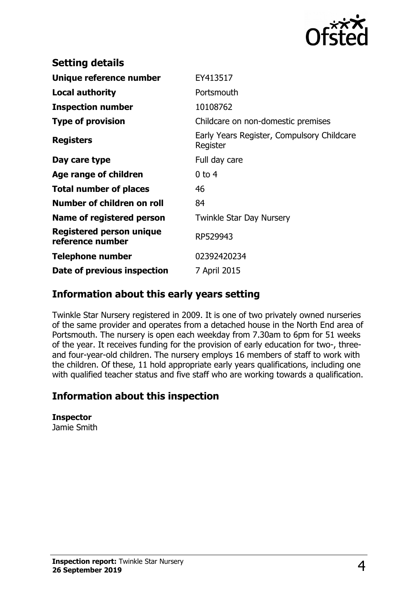

| <b>Setting details</b>                              |                                                        |
|-----------------------------------------------------|--------------------------------------------------------|
| Unique reference number                             | EY413517                                               |
| <b>Local authority</b>                              | Portsmouth                                             |
| <b>Inspection number</b>                            | 10108762                                               |
| <b>Type of provision</b>                            | Childcare on non-domestic premises                     |
| <b>Registers</b>                                    | Early Years Register, Compulsory Childcare<br>Register |
| Day care type                                       | Full day care                                          |
| Age range of children                               | $0$ to 4                                               |
| <b>Total number of places</b>                       | 46                                                     |
| Number of children on roll                          | 84                                                     |
| Name of registered person                           | <b>Twinkle Star Day Nursery</b>                        |
| <b>Registered person unique</b><br>reference number | RP529943                                               |
| <b>Telephone number</b>                             | 02392420234                                            |
| Date of previous inspection                         | 7 April 2015                                           |

#### **Information about this early years setting**

Twinkle Star Nursery registered in 2009. It is one of two privately owned nurseries of the same provider and operates from a detached house in the North End area of Portsmouth. The nursery is open each weekday from 7.30am to 6pm for 51 weeks of the year. It receives funding for the provision of early education for two-, threeand four-year-old children. The nursery employs 16 members of staff to work with the children. Of these, 11 hold appropriate early years qualifications, including one with qualified teacher status and five staff who are working towards a qualification.

## **Information about this inspection**

**Inspector** Jamie Smith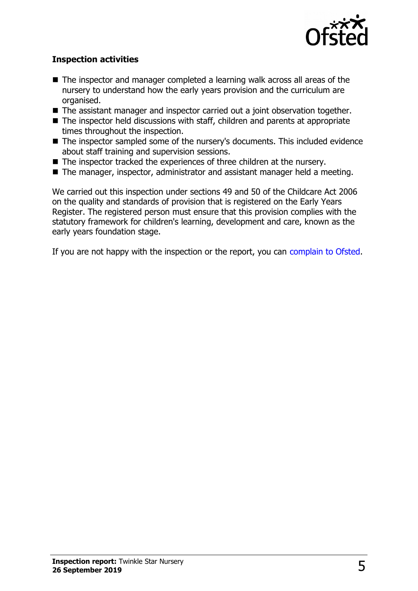

#### **Inspection activities**

- $\blacksquare$  The inspector and manager completed a learning walk across all areas of the nursery to understand how the early years provision and the curriculum are organised.
- $\blacksquare$  The assistant manager and inspector carried out a joint observation together.
- $\blacksquare$  The inspector held discussions with staff, children and parents at appropriate times throughout the inspection.
- The inspector sampled some of the nursery's documents. This included evidence about staff training and supervision sessions.
- $\blacksquare$  The inspector tracked the experiences of three children at the nursery.
- $\blacksquare$  The manager, inspector, administrator and assistant manager held a meeting.

We carried out this inspection under sections 49 and 50 of the Childcare Act 2006 on the quality and standards of provision that is registered on the Early Years Register. The registered person must ensure that this provision complies with the statutory framework for children's learning, development and care, known as the early years foundation stage.

If you are not happy with the inspection or the report, you can [complain to Ofsted.](http://www.gov.uk/complain-ofsted-report)